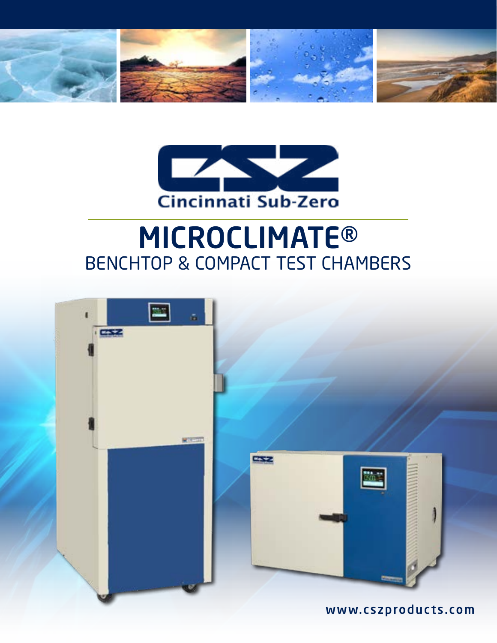



# MICROCLIMATE® BENCHTOP & COMPACT TEST CHAMBERS

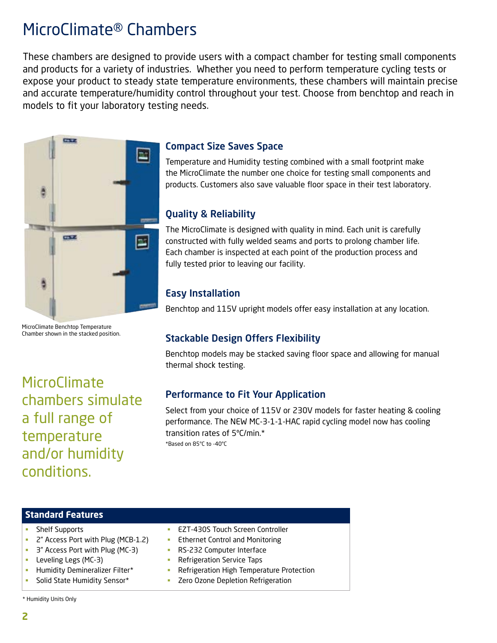### MicroClimate® Chambers

These chambers are designed to provide users with a compact chamber for testing small components and products for a variety of industries. Whether you need to perform temperature cycling tests or expose your product to steady state temperature environments, these chambers will maintain precise and accurate temperature/humidity control throughout your test. Choose from benchtop and reach in models to fit your laboratory testing needs.



MicroClimate Benchtop Temperature Chamber shown in the stacked position.

**MicroClimate** chambers simulate a full range of temperature and/or humidity conditions.

### Compact Size Saves Space

Temperature and Humidity testing combined with a small footprint make the MicroClimate the number one choice for testing small components and products. Customers also save valuable floor space in their test laboratory.

### Quality & Reliability

The MicroClimate is designed with quality in mind. Each unit is carefully constructed with fully welded seams and ports to prolong chamber life. Each chamber is inspected at each point of the production process and fully tested prior to leaving our facility.

### Easy Installation

Benchtop and 115V upright models offer easy installation at any location.

### Stackable Design Offers Flexibility

Benchtop models may be stacked saving floor space and allowing for manual thermal shock testing.

### Performance to Fit Your Application

Select from your choice of 115V or 230V models for faster heating & cooling performance. The NEW MC-3-1-1-HAC rapid cycling model now has cooling transition rates of 5ºC/min.\* \*Based on 85°C to -40°C

#### **Standard Features**

- **Shelf Supports**
- 2" Access Port with Plug (MCB-1.2)
- 3" Access Port with Plug (MC-3)
- **Leveling Legs (MC-3)**
- Humidity Demineralizer Filter\*
- Solid State Humidity Sensor\*
- EZT-430S Touch Screen Controller
- Ethernet Control and Monitoring
- **RS-232 Computer Interface**
- **Refrigeration Service Taps**
- **-** Refrigeration High Temperature Protection
- Zero Ozone Depletion Refrigeration

\* Humidity Units Only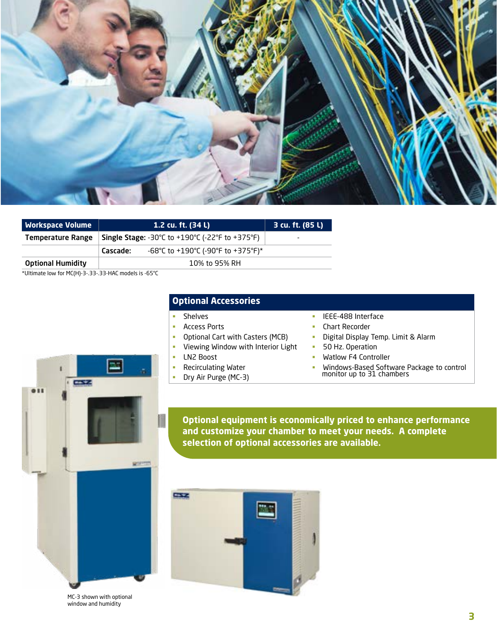

| <b>Workspace Volume</b>  | 1.2 cu. ft. (34 L)                                     | 3 cu. ft. (85 L) |
|--------------------------|--------------------------------------------------------|------------------|
| Temperature Range        | <b>Single Stage:</b> -30°C to +190°C (-22°F to +375°F) | ۰                |
|                          | -68°C to +190°C (-90°F to +375°F)*<br>Cascade:         |                  |
| <b>Optional Humidity</b> | 10% to 95% RH                                          |                  |

\*Ultimate low for MC(H)-3-.33-.33-HAC models is -65°C

**CAST COM** 

#### **Optional Accessories**

- Shelves
- **Access Ports**
- **•** Optional Cart with Casters (MCB)
- **Viewing Window with Interior Light**
- **LN2 Boost**
- Recirculating Water
- Dry Air Purge (MC-3)
- **IEEE-488 Interface**
- **Chart Recorder**
- **•** Digital Display Temp. Limit & Alarm
- **50 Hz. Operation**
- **Watlow F4 Controller**
- Windows-Based Software Package to control monitor up to 31 chambers

**Optional equipment is economically priced to enhance performance and customize your chamber to meet your needs. A complete selection of optional accessories are available.**



MC-3 shown with optional window and humidity

**WIF**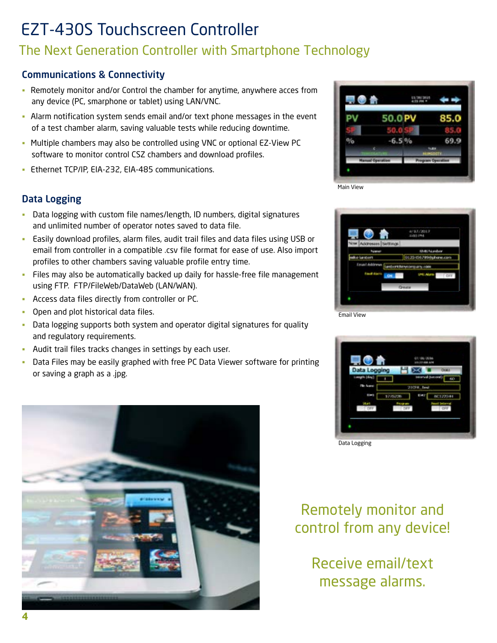## EZT-430S Touchscreen Controller

### The Next Generation Controller with Smartphone Technology

### Communications & Connectivity

- Remotely monitor and/or Control the chamber for anytime, anywhere acces from any device (PC, smarphone or tablet) using LAN/VNC.
- Alarm notification system sends email and/or text phone messages in the event of a test chamber alarm, saving valuable tests while reducing downtime.
- Multiple chambers may also be controlled using VNC or optional EZ-View PC software to monitor control CSZ chambers and download profiles.
- **Ethernet TCP/IP, EIA-232, EIA-485 communications.**

### Data Logging

- Data logging with custom file names/length, ID numbers, digital signatures and unlimited number of operator notes saved to data file.
- Easily download profiles, alarm files, audit trail files and data files using USB or email from controller in a compatible .csv file format for ease of use. Also import profiles to other chambers saving valuable profile entry time.
- Files may also be automatically backed up daily for hassle-free file management using FTP. FTP/FileWeb/DataWeb (LAN/WAN).
- Access data files directly from controller or PC.
- **Open and plot historical data files.**
- Data logging supports both system and operator digital signatures for quality and regulatory requirements.
- Audit trail files tracks changes in settings by each user.
- Data Files may be easily graphed with free PC Data Viewer software for printing or saving a graph as a .jpg.



|    |      |   | 85.0 |  |  |
|----|------|---|------|--|--|
|    |      |   |      |  |  |
|    | 6.5% |   |      |  |  |
|    |      |   |      |  |  |
| Hu |      | ø |      |  |  |







Data Logging

### Remotely monitor and control from any device!

Receive email/text message alarms.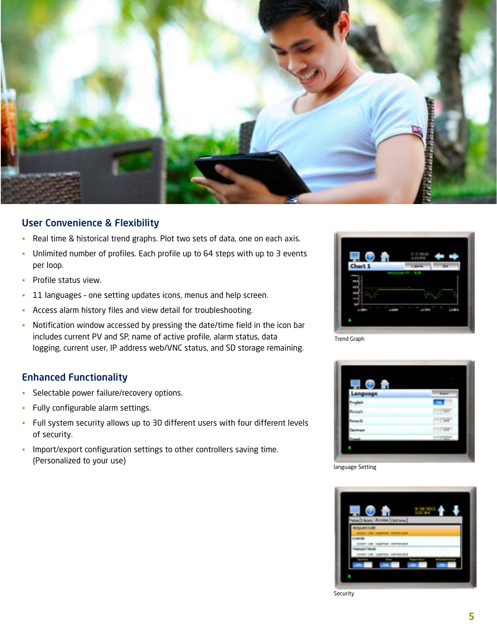

#### User Convenience & Flexibility

- Real time & historical trend graphs. Plot two sets of data, one on each axis.
- Unlimited number of profiles. Each profile up to 64 steps with up to 3 events per loop.
- **Profile status view.**
- <sup>-</sup> 11 languages one setting updates icons, menus and help screen.
- Access alarm history files and view detail for troubleshooting.
- Notification window accessed by pressing the date/time field in the icon bar includes current PV and SP, name of active profile, alarm status, data logging, current user, IP address web/VNC status, and SD storage remaining.

### Enhanced Functionality

- **Selectable power failure/recovery options.**
- **Fully configurable alarm settings.**
- Full system security allows up to 30 different users with four different levels of security.
- **Import/export configuration settings to other controllers saving time.** (Personalized to your use)



Trend Graph



language Setting



Security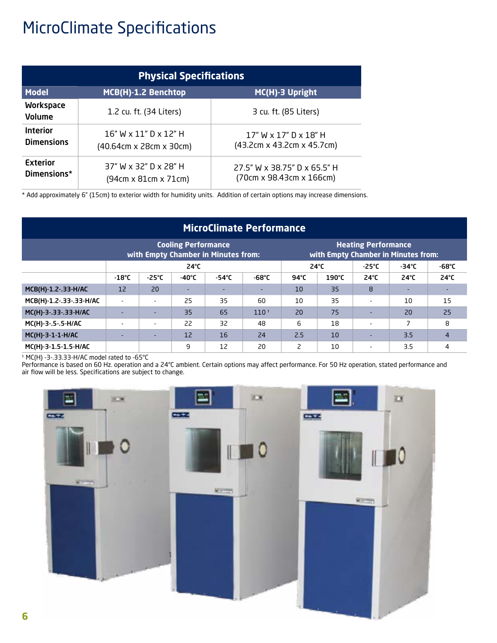## MicroClimate Specifications

| <b>Physical Specifications</b>       |                                                                    |                                                           |  |  |  |  |  |
|--------------------------------------|--------------------------------------------------------------------|-----------------------------------------------------------|--|--|--|--|--|
| <b>Model</b>                         | MCB(H)-1.2 Benchtop                                                | MC(H)-3 Upright                                           |  |  |  |  |  |
| <b>Workspace</b><br><b>Volume</b>    | 1.2 cu. ft. (34 Liters)                                            | 3 cu. ft. (85 Liters)                                     |  |  |  |  |  |
| <b>Interior</b><br><b>Dimensions</b> | $16"$ W x $11"$ D x $12"$ H<br>$(40.64cm \times 28cm \times 30cm)$ | $17"$ W x $17"$ D x $18"$ H<br>(43.2cm x 43.2cm x 45.7cm) |  |  |  |  |  |
| <b>Exterior</b><br>Dimensions*       | 37" W x 32" D x 28" H<br>(94cm x 81cm x 71cm)                      | 27.5" W x 38.75" D x 65.5" H<br>(70cm x 98.43cm x 166cm)  |  |  |  |  |  |

\* Add approximately 6" (15cm) to exterior width for humidity units. Addition of certain options may increase dimensions.

| <b>MicroClimate Performance</b> |                                                                   |                          |                 |                 |                                                                   |                |                 |                          |                 |                |
|---------------------------------|-------------------------------------------------------------------|--------------------------|-----------------|-----------------|-------------------------------------------------------------------|----------------|-----------------|--------------------------|-----------------|----------------|
|                                 | <b>Cooling Performance</b><br>with Empty Chamber in Minutes from: |                          |                 |                 | <b>Heating Performance</b><br>with Empty Chamber in Minutes from: |                |                 |                          |                 |                |
|                                 | $24^{\circ}C$                                                     |                          |                 |                 | $24^{\circ}$ C                                                    |                | $-25^{\circ}$ C | $-34^{\circ}$ C          | $-68^{\circ}$ C |                |
|                                 | $-18^{\circ}$ C                                                   | $-25^{\circ}$ C          | $-40^{\circ}$ C | $-54^{\circ}$ C | $-68^{\circ}$ C                                                   | $94^{\circ}$ C | 190°C           | $24^{\circ}$ C           | $24^{\circ}C$   | $24^{\circ}C$  |
| MCB(H)-1.2-.33-H/AC             | $12 \overline{ }$                                                 | 20                       |                 |                 | -                                                                 | 10             | 35              | 8                        |                 |                |
| MCB(H)-1.2-.33-.33-H/AC         | $\overline{\phantom{a}}$                                          | $\sim$                   | 25              | 35              | 60                                                                | 10             | 35              | $\overline{\phantom{a}}$ | 10              | 15             |
| MC(H)-3-.33-.33-H/AC            |                                                                   | ٠                        | 35              | 65              | 110 <sup>1</sup>                                                  | 20             | 75              | ٠                        | 20              | 25             |
| MC(H)-3-.5-.5-H/AC              | $\overline{\phantom{a}}$                                          | $\overline{\phantom{a}}$ | 22              | 32              | 48                                                                | 6              | 18              | $\blacksquare$           | 7               | 8              |
| MC(H)-3-1-1-H/AC                |                                                                   | $\sim$                   | 12 <sup>2</sup> | 16              | 24                                                                | 2.5            | 10              | ٠                        | 3.5             | $\overline{4}$ |
| MC(H)-3-1.5-1.5-H/AC            |                                                                   |                          | 9               | 12              | 20                                                                | 2              | 10              | $\overline{\phantom{a}}$ | 3.5             | 4              |

<sup>1</sup> MC(H) -3-.33.33-H/AC model rated to -65°C

Performance is based on 60 Hz. operation and a 24°C ambient. Certain options may affect performance. For 50 Hz operation, stated performance and air flow will be less. Specifications are subject to change.

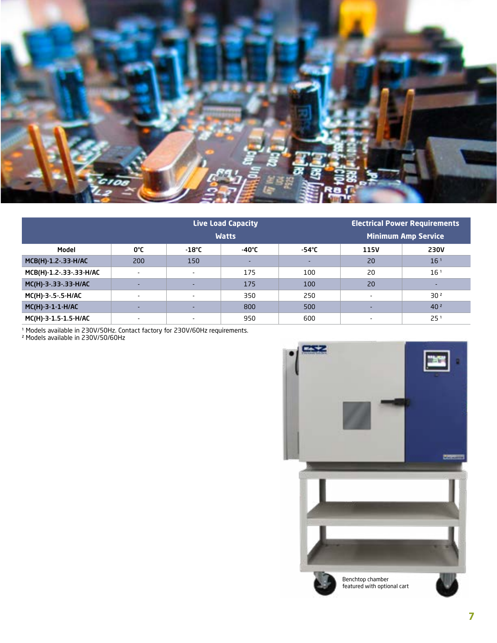

|                         |                          | <b>Live Load Capacity</b> | <b>Electrical Power Requirements</b> |       |      |                            |  |  |
|-------------------------|--------------------------|---------------------------|--------------------------------------|-------|------|----------------------------|--|--|
|                         |                          | <b>Watts</b>              |                                      |       |      | <b>Minimum Amp Service</b> |  |  |
| Model                   | 0°C                      | $-18^{\circ}$ C           | $-40^{\circ}$ C                      | -54°C | 115V | <b>230V</b>                |  |  |
| MCB(H)-1.2-.33-H/AC     | 200                      | 150                       |                                      |       | 20   | 16 <sup>1</sup>            |  |  |
| MCB(H)-1.2-.33-.33-H/AC | $\overline{\phantom{0}}$ | $\overline{\phantom{a}}$  | 175                                  | 100   | 20   | 16 <sup>1</sup>            |  |  |
| MC(H)-3-.33-.33-H/AC    | $\overline{\phantom{a}}$ | $\overline{\phantom{a}}$  | 175                                  | 100   | 20   |                            |  |  |
| MC(H)-3-.5-.5-H/AC      | $\overline{\phantom{a}}$ | $\overline{\phantom{a}}$  | 350                                  | 250   |      | 30 <sup>2</sup>            |  |  |
| MC(H)-3-1-1-H/AC        | -                        | $\overline{\phantom{a}}$  | 800                                  | 500   |      | 40 <sup>2</sup>            |  |  |
| MC(H)-3-1.5-1.5-H/AC    |                          | $\overline{\phantom{a}}$  | 950                                  | 600   |      | 25 <sup>1</sup>            |  |  |

<sup>1</sup> Models available in 230V/50Hz. Contact factory for 230V/60Hz requirements.

² Models available in 230V/50/60Hz